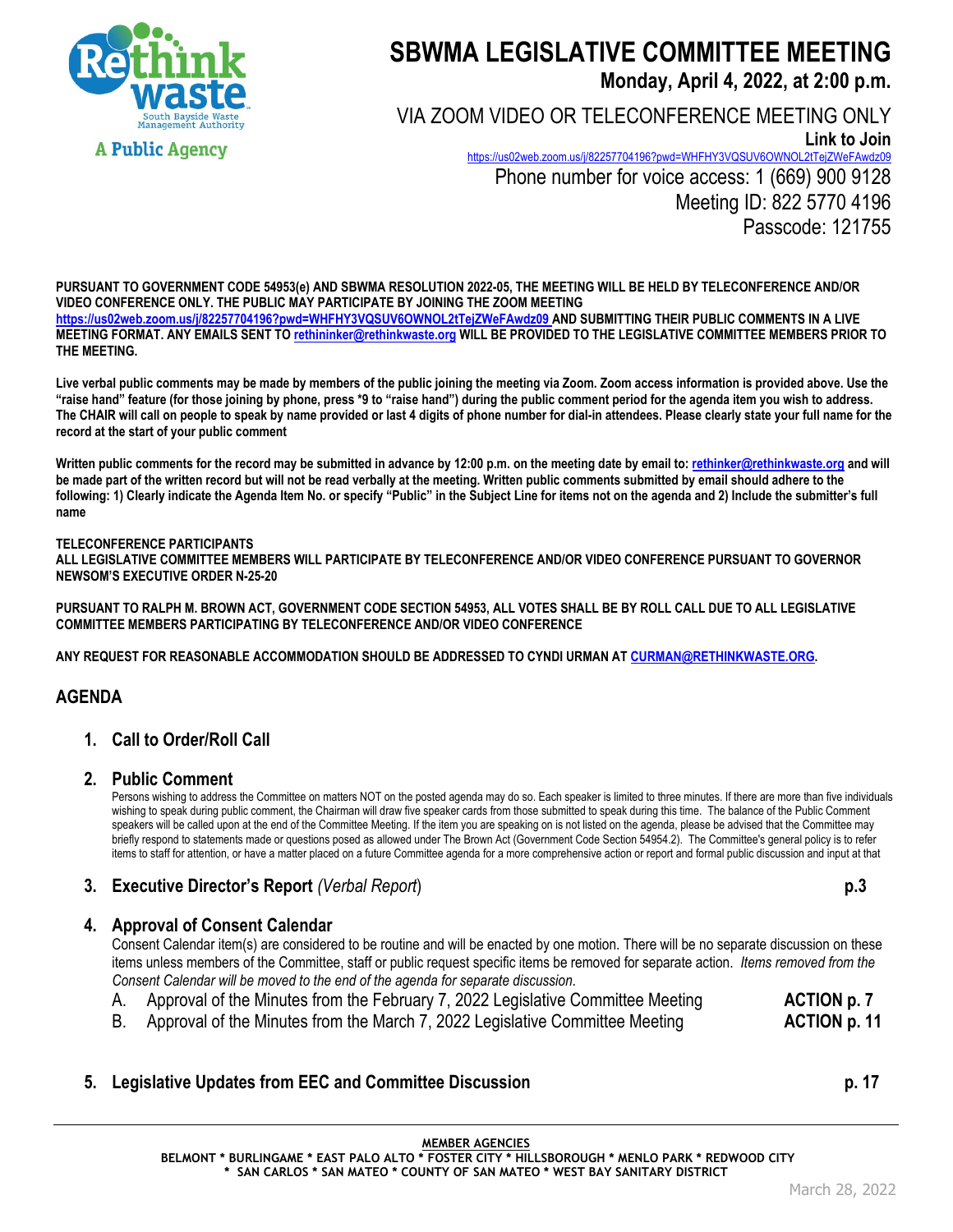

# **SBWMA LEGISLATIVE COMMITTEE MEETING Monday, April 4, 2022, at 2:00 p.m.**

VIA ZOOM VIDEO OR TELECONFERENCE MEETING ONLY **Link to Join**  https://us02web.zoom.us/j/82257704196?pwd=WHFHY3VQSUV6OWNOL2tTejZWeFAwdz09 Phone number for voice access: 1 (669) 900 9128 Meeting ID: 822 5770 4196 Passcode: 121755

**PURSUANT TO GOVERNMENT CODE 54953(e) AND SBWMA RESOLUTION 2022-05, THE MEETING WILL BE HELD BY TELECONFERENCE AND/OR VIDEO CONFERENCE ONLY. THE PUBLIC MAY PARTICIPATE BY JOINING THE ZOOM MEETING https://us02web.zoom.us/j/82257704196?pwd=WHFHY3VQSUV6OWNOL2tTejZWeFAwdz09 AND SUBMITTING THEIR PUBLIC COMMENTS IN A LIVE MEETING FORMAT. ANY EMAILS SENT TO rethininker@rethinkwaste.org WILL BE PROVIDED TO THE LEGISLATIVE COMMITTEE MEMBERS PRIOR TO THE MEETING.** 

**Live verbal public comments may be made by members of the public joining the meeting via Zoom. Zoom access information is provided above. Use the "raise hand" feature (for those joining by phone, press \*9 to "raise hand") during the public comment period for the agenda item you wish to address. The CHAIR will call on people to speak by name provided or last 4 digits of phone number for dial-in attendees. Please clearly state your full name for the record at the start of your public comment** 

Written public comments for the record may be submitted in advance by 12:00 p.m. on the meeting date by email to: rethinker@rethinkwaste.org and will **be made part of the written record but will not be read verbally at the meeting. Written public comments submitted by email should adhere to the following: 1) Clearly indicate the Agenda Item No. or specify "Public" in the Subject Line for items not on the agenda and 2) Include the submitter's full name** 

#### **TELECONFERENCE PARTICIPANTS**

**ALL LEGISLATIVE COMMITTEE MEMBERS WILL PARTICIPATE BY TELECONFERENCE AND/OR VIDEO CONFERENCE PURSUANT TO GOVERNOR NEWSOM'S EXECUTIVE ORDER N-25-20** 

**PURSUANT TO RALPH M. BROWN ACT, GOVERNMENT CODE SECTION 54953, ALL VOTES SHALL BE BY ROLL CALL DUE TO ALL LEGISLATIVE COMMITTEE MEMBERS PARTICIPATING BY TELECONFERENCE AND/OR VIDEO CONFERENCE** 

**ANY REQUEST FOR REASONABLE ACCOMMODATION SHOULD BE ADDRESSED TO CYNDI URMAN AT CURMAN@RETHINKWASTE.ORG.** 

## **AGENDA**

## **1. Call to Order/Roll Call**

#### **2. Public Comment**

Persons wishing to address the Committee on matters NOT on the posted agenda may do so. Each speaker is limited to three minutes. If there are more than five individuals wishing to speak during public comment, the Chairman will draw five speaker cards from those submitted to speak during this time. The balance of the Public Comment speakers will be called upon at the end of the Committee Meeting. If the item you are speaking on is not listed on the agenda, please be advised that the Committee may briefly respond to statements made or questions posed as allowed under The Brown Act (Government Code Section 54954.2). The Committee's general policy is to refer items to staff for attention, or have a matter placed on a future Committee agenda for a more comprehensive action or report and formal public discussion and input at that

## **3. Executive Director's Report** *(Verbal Report*) **p.3**

### **4. Approval of Consent Calendar**

Consent Calendar item(s) are considered to be routine and will be enacted by one motion. There will be no separate discussion on these items unless members of the Committee, staff or public request specific items be removed for separate action. *Items removed from the Consent Calendar will be moved to the end of the agenda for separate discussion*.

- A. Approval of the Minutes from the February 7, 2022 Legislative Committee Meeting **ACTION p. 7**
- B. Approval of the Minutes from the March 7, 2022 Legislative Committee Meeting **ACTION p. 11**

## **5.** Legislative Updates from EEC and Committee Discussion **p. 17 p. 17**